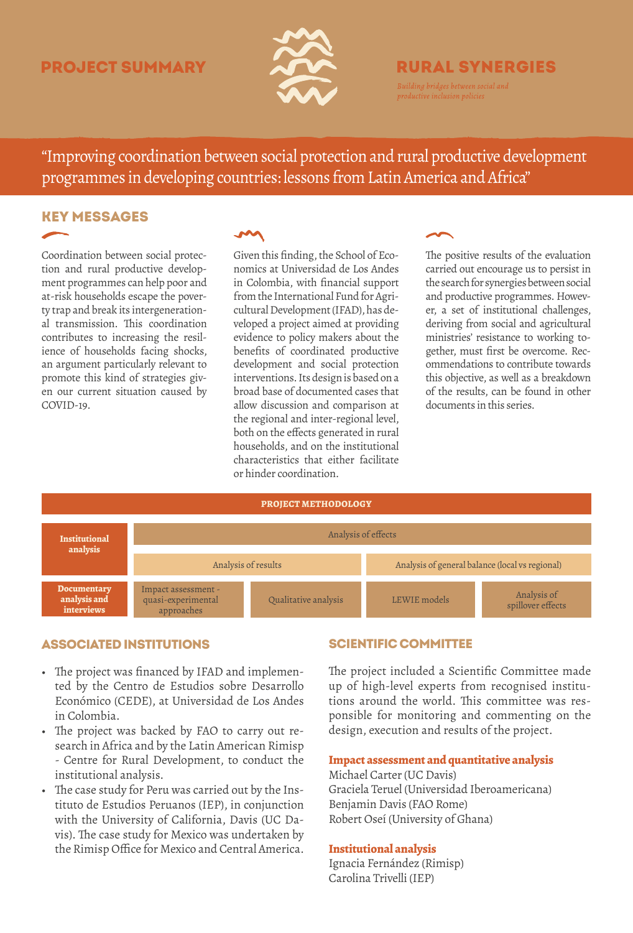# project summary



# **RURAL SYNERGIES**

"Improving coordination between social protection and rural productive development programmes in developing countries: lessons from Latin America and Africa"

## Key messages

Coordination between social protection and rural productive development programmes can help poor and at-risk households escape the poverty trap and break its intergenerational transmission. This coordination contributes to increasing the resilience of households facing shocks, an argument particularly relevant to promote this kind of strategies given our current situation caused by COVID-19.

## $\sim$

Given this finding, the School of Economics at Universidad de Los Andes in Colombia, with financial support from the International Fund for Agricultural Development (IFAD), has developed a project aimed at providing evidence to policy makers about the benefits of coordinated productive development and social protection interventions. Its design is based on a broad base of documented cases that allow discussion and comparison at the regional and inter-regional level, both on the effects generated in rural households, and on the institutional characteristics that either facilitate or hinder coordination.

The positive results of the evaluation carried out encourage us to persist in the search for synergies between social and productive programmes. However, a set of institutional challenges, deriving from social and agricultural ministries' resistance to working together, must first be overcome. Recommendations to contribute towards this objective, as well as a breakdown of the results, can be found in other documents in this series.



## associated Institutions

- The project was financed by IFAD and implemented by the Centro de Estudios sobre Desarrollo Económico (CEDE), at Universidad de Los Andes in Colombia.
- The project was backed by FAO to carry out research in Africa and by the Latin American Rimisp - Centre for Rural Development, to conduct the institutional analysis.
- The case study for Peru was carried out by the Instituto de Estudios Peruanos (IEP), in conjunction with the University of California, Davis (UC Davis). The case study for Mexico was undertaken by the Rimisp Office for Mexico and Central America.

## Scientific Committee

The project included a Scientific Committee made up of high-level experts from recognised institutions around the world. This committee was responsible for monitoring and commenting on the design, execution and results of the project.

#### **Impact assessment and quantitative analysis**

Michael Carter (UC Davis) Graciela Teruel (Universidad Iberoamericana) Benjamin Davis (FAO Rome) Robert Oseí (University of Ghana)

#### **Institutional analysis**

Ignacia Fernández (Rimisp) Carolina Trivelli (IEP)